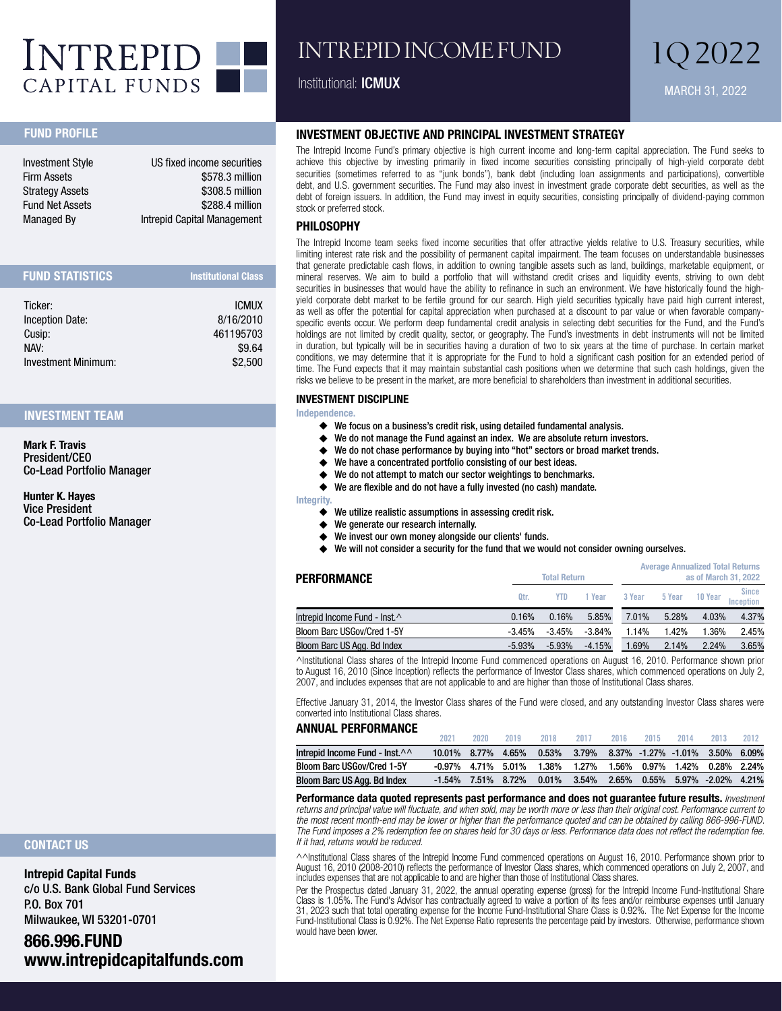

## INTREPID INCOME FUND

#### Institutional: ICMUX

## MARCH 31, 2022 1Q 2022

#### FUND PROFILE

| <b>Investment Style</b> | US fixed income securities  |
|-------------------------|-----------------------------|
| <b>Firm Assets</b>      | \$578.3 million             |
| <b>Strategy Assets</b>  | \$308.5 million             |
| <b>Fund Net Assets</b>  | \$288.4 million             |
| <b>Managed By</b>       | Intrepid Capital Management |

| <b>FUND STATISTICS</b> | <b>Institutional Class</b> |
|------------------------|----------------------------|
| Ticker:                | <b>ICMUX</b>               |
| Inception Date:        | 8/16/2010                  |
| Cusip:                 | 461195703                  |
| NAV:                   | \$9.64                     |
| Investment Minimum:    | \$2.500                    |

#### INVESTMENT TEAM

Mark F. Travis President/CEO Co-Lead Portfolio Manager

Hunter K. Hayes Vice President Co-Lead Portfolio Manager

#### CONTACT US

Intrepid Capital Funds c/o U.S. Bank Global Fund Services P.O. Box 701 Milwaukee, WI 53201-0701

### 866.996.FUND www.intrepidcapitalfunds.com

#### INVESTMENT OBJECTIVE AND PRINCIPAL INVESTMENT STRATEGY

The Intrepid Income Fund's primary objective is high current income and long-term capital appreciation. The Fund seeks to achieve this objective by investing primarily in fixed income securities consisting principally of high-yield corporate debt securities (sometimes referred to as "junk bonds"), bank debt (including loan assignments and participations), convertible debt, and U.S. government securities. The Fund may also invest in investment grade corporate debt securities, as well as the debt of foreign issuers. In addition, the Fund may invest in equity securities, consisting principally of dividend-paying common stock or preferred stock.

#### PHILOSOPHY

The Intrepid Income team seeks fixed income securities that offer attractive yields relative to U.S. Treasury securities, while limiting interest rate risk and the possibility of permanent capital impairment. The team focuses on understandable businesses that generate predictable cash flows, in addition to owning tangible assets such as land, buildings, marketable equipment, or mineral reserves. We aim to build a portfolio that will withstand credit crises and liquidity events, striving to own debt securities in businesses that would have the ability to refinance in such an environment. We have historically found the highyield corporate debt market to be fertile ground for our search. High yield securities typically have paid high current interest, as well as offer the potential for capital appreciation when purchased at a discount to par value or when favorable companyspecific events occur. We perform deep fundamental credit analysis in selecting debt securities for the Fund, and the Fund's holdings are not limited by credit quality, sector, or geography. The Fund's investments in debt instruments will not be limited in duration, but typically will be in securities having a duration of two to six years at the time of purchase. In certain market conditions, we may determine that it is appropriate for the Fund to hold a significant cash position for an extended period of time. The Fund expects that it may maintain substantial cash positions when we determine that such cash holdings, given the risks we believe to be present in the market, are more beneficial to shareholders than investment in additional securities.

#### INVESTMENT DISCIPLINE

#### Independence.

- ◆ We focus on a business's credit risk, using detailed fundamental analysis.<br>◆ We do not manage the Fund against an index. We are absolute return inve
- ◆ We do not manage the Fund against an index. We are absolute return investors.<br>◆ We do not chase performance by buying into "hot" sectors or broad market trene
- We do not chase performance by buying into "hot" sectors or broad market trends.
- ◆ We have a concentrated portfolio consisting of our best ideas.<br>◆ We do not attempt to match our sector weightings to benchma
- We do not attempt to match our sector weightings to benchmarks.

◆ We are flexible and do not have a fully invested (no cash) mandate.

Integrity.

- **٠** We utilize realistic assumptions in assessing credit risk.
- **٠** We generate our research internally.
- **٠** We invest our own money alongside our clients' funds.
- We will not consider a security for the fund that we would not consider owning ourselves.

| PERFORMANCE                    | <b>Total Return</b> |          |          | <b>Average Annualized Total Returns</b><br>as of March 31, 2022 |        |         |                           |  |
|--------------------------------|---------------------|----------|----------|-----------------------------------------------------------------|--------|---------|---------------------------|--|
|                                | Qtr.                | YTD      | 1 Year   | 3 Year                                                          | 5 Year | 10 Year | <b>Since</b><br>Incention |  |
| Intrepid Income Fund - Inst. ^ | 0.16%               | 0.16%    | 5.85%    | 7.01%                                                           | 5.28%  | 4.03%   | 4.37%                     |  |
| Bloom Barc USGov/Cred 1-5Y     | $-3.45%$            | $-3.45%$ | $-3.84%$ | 1.14%                                                           | 1.42%  | 1.36%   | 2.45%                     |  |
| Bloom Barc US Agg. Bd Index    | $-5.93\%$           | $-5.93%$ | $-4.15%$ | 1.69%                                                           | 2.14%  | 2.24%   | 3.65%                     |  |

^Institutional Class shares of the Intrepid Income Fund commenced operations on August 16, 2010. Performance shown prior to August 16, 2010 (Since Inception) reflects the performance of Investor Class shares, which commenced operations on July 2, 2007, and includes expenses that are not applicable to and are higher than those of Institutional Class shares.

Effective January 31, 2014, the Investor Class shares of the Fund were closed, and any outstanding Investor Class shares were converted into Institutional Class shares.

#### ANNUAL PERFORMANCE

|                              | 2021               | 2020  | 2019        | 2018     | 2017                                  | 2016 | 2015 | 2014 | 2013                           | 2012 |
|------------------------------|--------------------|-------|-------------|----------|---------------------------------------|------|------|------|--------------------------------|------|
| Intrepid Income Fund - Inst. | $10.01\%$          | 8.77% | 4.65%       | 0.53%    | 3.79% 8.37% -1.27% -1.01% 3.50% 6.09% |      |      |      |                                |      |
| Bloom Barc USGov/Cred 1-5Y   | -0.97%             |       | 4.71% 5.01% | 1.38%    | 1.27% 1.56% 0.97% 1.42% 0.28% 2.24%   |      |      |      |                                |      |
| Bloom Barc US Agg. Bd Index  | -1.54% 7.51% 8.72% |       |             | $0.01\%$ | 3.54%                                 |      |      |      | 2.65% 0.55% 5.97% -2.02% 4.21% |      |

**Performance data quoted represents past performance and does not guarantee future results.** *Investment returns and principal value will fluctuate, and when sold, may be worth more or less than their original cost. Performance current to the most recent month-end may be lower or higher than the performance quoted and can be obtained by calling 866-996-FUND. The Fund imposes a 2% redemption fee on shares held for 30 days or less. Performance data does not reflect the redemption fee. If it had, returns would be reduced.*

^^Institutional Class shares of the Intrepid Income Fund commenced operations on August 16, 2010. Performance shown prior to August 16, 2010 (2008-2010) reflects the performance of Investor Class shares, which commenced operations on July 2, 2007, and includes expenses that are not applicable to and are higher than those of Institutional Class shares.

Per the Prospectus dated January 31, 2022, the annual operating expense (gross) for the Intrepid Income Fund-Institutional Share Class is 1.05%. The Fund's Advisor has contractually agreed to waive a portion of its fees and/or reimburse expenses until January 31, 2023 such that total operating expense for the Income Fund-Institutional Share Class is 0.92%. The Net Expense for the Income Fund-Institutional Class is 0.92%. The Net Expense Ratio represents the percentage paid by investors. Otherwise, performance shown would have been lower